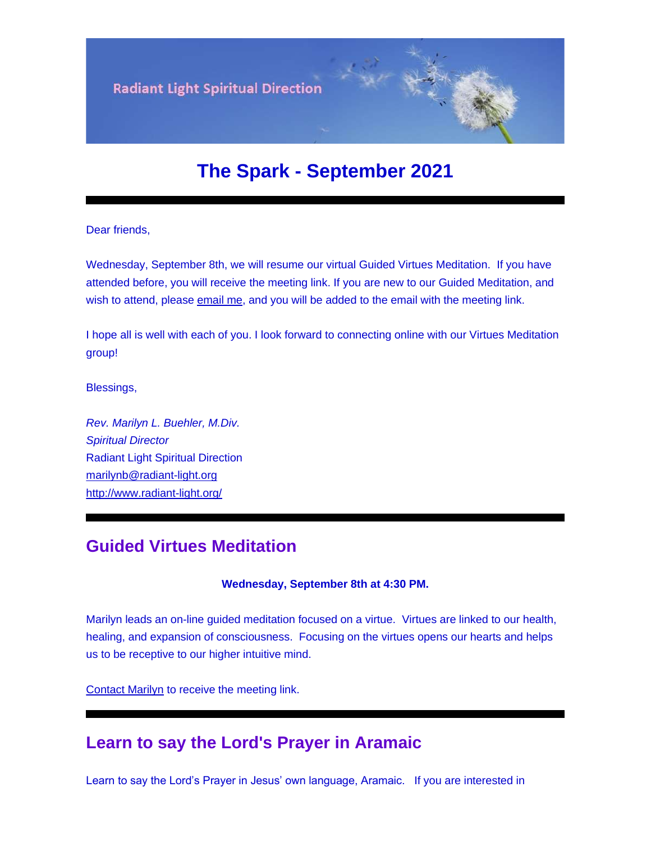

# **The Spark - September 2021**

Dear friends,

Wednesday, September 8th, we will resume our virtual Guided Virtues Meditation. If you have attended before, you will receive the meeting link. If you are new to our Guided Meditation, and wish to attend, please [email me,](mailto:marilynb@radiant-light.org?subject=Guided%20Virtues%20Meditation&body=) and you will be added to the email with the meeting link.

I hope all is well with each of you. I look forward to connecting online with our Virtues Meditation group!

Blessings,

*Rev. Marilyn L. Buehler, M.Div. Spiritual Director* Radiant Light Spiritual Direction [marilynb@radiant-light.org](mailto:marilynb@radiant-light.org) [http://www.radiant-light.org/](https://u18544456.ct.sendgrid.net/ls/click?upn=R-2Bl7NGDLiuME3v4KUDXT9h2qnOPi-2Bv0NUDPOAvqgwbSGaV-2BAb3Xm4aVOKtH6HhU9m-2FTXOQwSXWi82XNXQXmW0Ybjzw6tS-2BT4DLdUHTzXugFWK15x1FY1bK6oAs60zDHaxEQ7_FiQrYGg1YZElR924caalGEP3AHGeF79ulf5jxC9Fbcd8IfoR4p2-2FW0xZvJaX6Y3z75H0Yw3uGmHJTH3azVPJ5D2qCoI73UzQwuURqNFDS2H-2Foft08TWpElscdhiHjjgTWN1cVTNnPXjl33w3Onqya-2F22cqNXvEQTWAwE3tAWXk2yE1KwOUT76U9-2BZrqdIm4q2-2BWPZGiJJh50vgcOUKkqx34vt3fvkYqZgo0ZdHvN0jPJf9w6DdwUT6GMyBQv-2Frl50urQnGr1CGxJFPcQ9gOlblUgQONQzn0z-2BAHSiz2nFEeRYJlNiyVb1XYssMO5bR4-2BLm2ikuabeRKMxq1hdp0l5IQmBZBvsYN1-2FsasH9q4L6d7VDY5FyP6w01H-2FwWFFwTYFSEAjm6BpTfiEYoDE3fiVcXCWwozmMrSLQxIPfb8VThWV2grXwsGrWt5fqil9nmbm4msDHF8fajkvVU2Ari-2FlQJMa-2BZNpQi2CKWeOlKwP3PLznu9HXpL7Y72jsCVLiYlBH-2F-2BsAVrUYwlOe7yQ7-2BhIB30hmSgRoVWxwIyIUJpJJI-3D)

# **Guided Virtues Meditation**

**Wednesday, September 8th at 4:30 PM.**

Marilyn leads an on-line guided meditation focused on a virtue. Virtues are linked to our health, healing, and expansion of consciousness. Focusing on the virtues opens our hearts and helps us to be receptive to our higher intuitive mind.

[Contact Marilyn](mailto:marilynb@radiant-light.org?subject=&body=) to receive the meeting link.

### **Learn to say the Lord's Prayer in Aramaic**

Learn to say the Lord's Prayer in Jesus' own language, Aramaic. If you are interested in